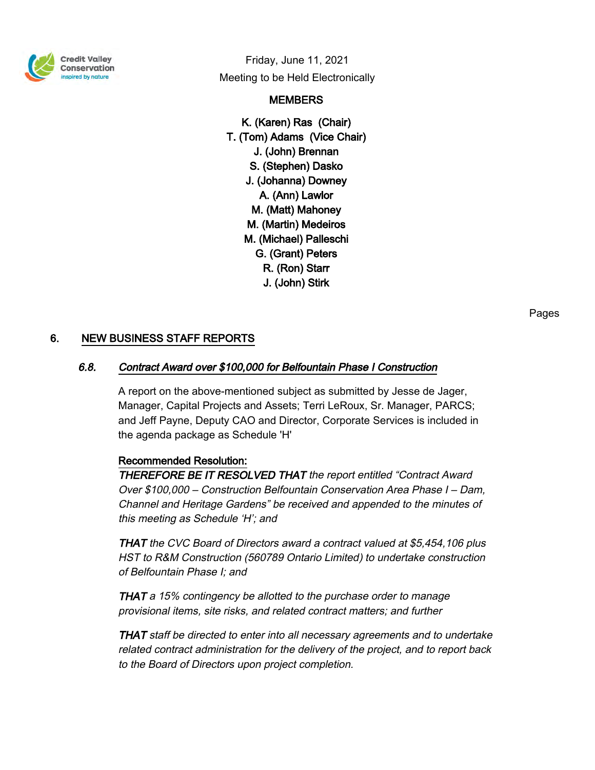

Friday, June 11, 2021 Meeting to be Held Electronically

# **MEMBERS**

K. (Karen) Ras (Chair) T. (Tom) Adams (Vice Chair) J. (John) Brennan S. (Stephen) Dasko J. (Johanna) Downey A. (Ann) Lawlor M. (Matt) Mahoney M. (Martin) Medeiros M. (Michael) Palleschi G. (Grant) Peters R. (Ron) Starr J. (John) Stirk

# 6. NEW BUSINESS STAFF REPORTS

# 6.8. Contract Award over \$100,000 for Belfountain Phase I Construction

A report on the above-mentioned subject as submitted by Jesse de Jager, Manager, Capital Projects and Assets; Terri LeRoux, Sr. Manager, PARCS; and Jeff Payne, Deputy CAO and Director, Corporate Services is included in the agenda package as Schedule 'H'

### Recommended Resolution:

THEREFORE BE IT RESOLVED THAT the report entitled "Contract Award Over \$100,000 – Construction Belfountain Conservation Area Phase I – Dam, Channel and Heritage Gardens" be received and appended to the minutes of this meeting as Schedule 'H'; and

THAT the CVC Board of Directors award a contract valued at \$5,454,106 plus HST to R&M Construction (560789 Ontario Limited) to undertake construction of Belfountain Phase I; and

THAT a 15% contingency be allotted to the purchase order to manage provisional items, site risks, and related contract matters; and further

THAT staff be directed to enter into all necessary agreements and to undertake related contract administration for the delivery of the project, and to report back to the Board of Directors upon project completion.

Pages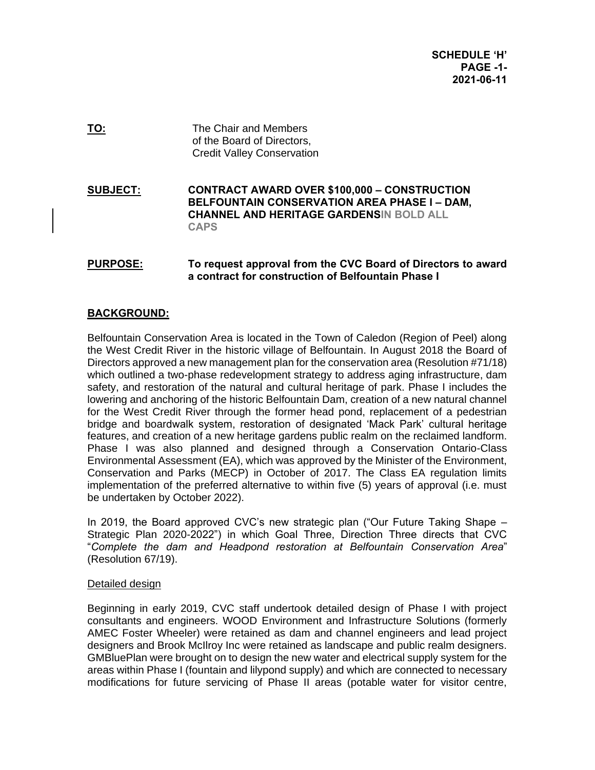**TO:** The Chair and Members of the Board of Directors, Credit Valley Conservation

**SUBJECT: CONTRACT AWARD OVER \$100,000 – CONSTRUCTION BELFOUNTAIN CONSERVATION AREA PHASE I – DAM, CHANNEL AND HERITAGE GARDENSIN BOLD ALL CAPS**

# **PURPOSE: To request approval from the CVC Board of Directors to award a contract for construction of Belfountain Phase I**

# **BACKGROUND:**

Belfountain Conservation Area is located in the Town of Caledon (Region of Peel) along the West Credit River in the historic village of Belfountain. In August 2018 the Board of Directors approved a new management plan for the conservation area (Resolution #71/18) which outlined a two-phase redevelopment strategy to address aging infrastructure, dam safety, and restoration of the natural and cultural heritage of park. Phase I includes the lowering and anchoring of the historic Belfountain Dam, creation of a new natural channel for the West Credit River through the former head pond, replacement of a pedestrian bridge and boardwalk system, restoration of designated 'Mack Park' cultural heritage features, and creation of a new heritage gardens public realm on the reclaimed landform. Phase I was also planned and designed through a Conservation Ontario-Class Environmental Assessment (EA), which was approved by the Minister of the Environment, Conservation and Parks (MECP) in October of 2017. The Class EA regulation limits implementation of the preferred alternative to within five (5) years of approval (i.e. must be undertaken by October 2022).

In 2019, the Board approved CVC's new strategic plan ("Our Future Taking Shape – Strategic Plan 2020-2022") in which Goal Three, Direction Three directs that CVC "*Complete the dam and Headpond restoration at Belfountain Conservation Area*" (Resolution 67/19).

#### Detailed design

Beginning in early 2019, CVC staff undertook detailed design of Phase I with project consultants and engineers. WOOD Environment and Infrastructure Solutions (formerly AMEC Foster Wheeler) were retained as dam and channel engineers and lead project designers and Brook McIlroy Inc were retained as landscape and public realm designers. GMBluePlan were brought on to design the new water and electrical supply system for the areas within Phase I (fountain and lilypond supply) and which are connected to necessary modifications for future servicing of Phase II areas (potable water for visitor centre,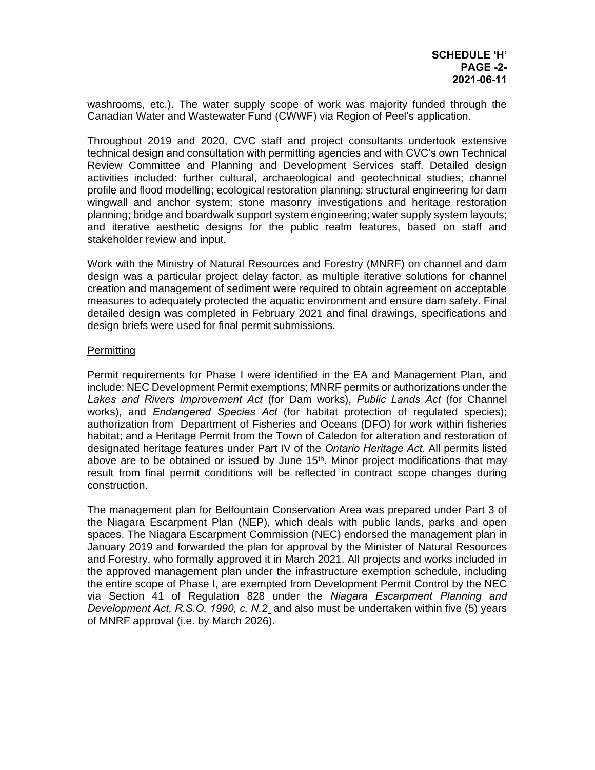washrooms, etc.). The water supply scope of work was majority funded through the Canadian Water and Wastewater Fund (CWWF) via Region of Peel's application.

Throughout 2019 and 2020, CVC staff and project consultants undertook extensive technical design and consultation with permitting agencies and with CVC's own Technical Review Committee and Planning and Development Services staff. Detailed design activities included: further cultural, archaeological and geotechnical studies; channel profile and flood modelling; ecological restoration planning; structural engineering for dam wingwall and anchor system; stone masonry investigations and heritage restoration planning; bridge and boardwalk support system engineering; water supply system layouts; and iterative aesthetic designs for the public realm features, based on staff and stakeholder review and input.

Work with the Ministry of Natural Resources and Forestry (MNRF) on channel and dam design was a particular project delay factor, as multiple iterative solutions for channel creation and management of sediment were required to obtain agreement on acceptable measures to adequately protected the aquatic environment and ensure dam safety. Final detailed design was completed in February 2021 and final drawings, specifications and design briefs were used for final permit submissions.

### Permitting

Permit requirements for Phase I were identified in the EA and Management Plan, and include: NEC Development Permit exemptions; MNRF permits or authorizations under the *Lakes and Rivers Improvement Act* (for Dam works), *Public Lands Act* (for Channel works), and *Endangered Species Act* (for habitat protection of regulated species); authorization from Department of Fisheries and Oceans (DFO) for work within fisheries habitat; and a Heritage Permit from the Town of Caledon for alteration and restoration of designated heritage features under Part IV of the *Ontario Heritage Act*. All permits listed above are to be obtained or issued by June  $15<sup>th</sup>$ . Minor project modifications that may result from final permit conditions will be reflected in contract scope changes during construction.

The management plan for Belfountain Conservation Area was prepared under Part 3 of the Niagara Escarpment Plan (NEP), which deals with public lands, parks and open spaces. The Niagara Escarpment Commission (NEC) endorsed the management plan in January 2019 and forwarded the plan for approval by the Minister of Natural Resources and Forestry, who formally approved it in March 2021. All projects and works included in the approved management plan under the infrastructure exemption schedule, including the entire scope of Phase I, are exempted from Development Permit Control by the NEC via Section 41 of Regulation 828 under the *Niagara Escarpment Planning and Development Act, R.S.O. 1990, c. N.2* and also must be undertaken within five (5) years of MNRF approval (i.e. by March 2026).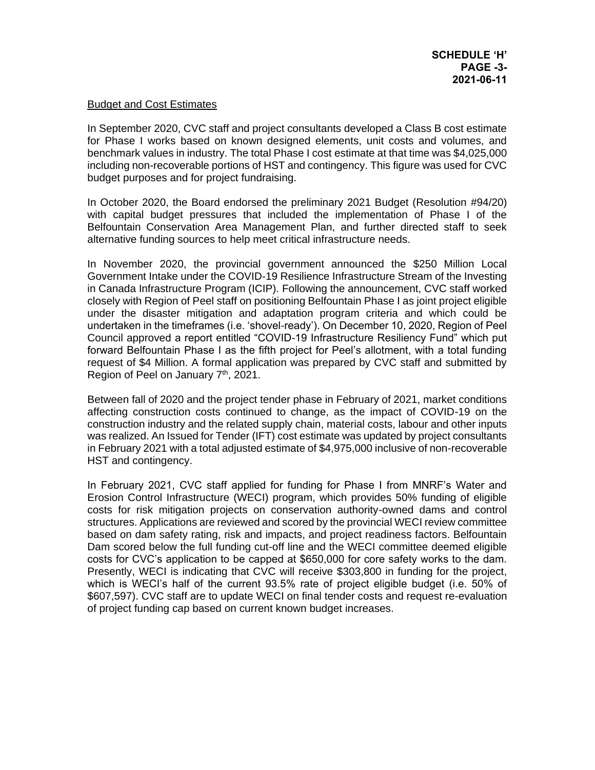#### Budget and Cost Estimates

In September 2020, CVC staff and project consultants developed a Class B cost estimate for Phase I works based on known designed elements, unit costs and volumes, and benchmark values in industry. The total Phase I cost estimate at that time was \$4,025,000 including non-recoverable portions of HST and contingency. This figure was used for CVC budget purposes and for project fundraising.

In October 2020, the Board endorsed the preliminary 2021 Budget (Resolution #94/20) with capital budget pressures that included the implementation of Phase I of the Belfountain Conservation Area Management Plan, and further directed staff to seek alternative funding sources to help meet critical infrastructure needs.

In November 2020, the provincial government announced the \$250 Million Local Government Intake under the COVID-19 Resilience Infrastructure Stream of the Investing in Canada Infrastructure Program (ICIP). Following the announcement, CVC staff worked closely with Region of Peel staff on positioning Belfountain Phase I as joint project eligible under the disaster mitigation and adaptation program criteria and which could be undertaken in the timeframes (i.e. 'shovel-ready'). On December 10, 2020, Region of Peel Council approved a report entitled "COVID-19 Infrastructure Resiliency Fund" which put forward Belfountain Phase I as the fifth project for Peel's allotment, with a total funding request of \$4 Million. A formal application was prepared by CVC staff and submitted by Region of Peel on January 7<sup>th</sup>, 2021.

Between fall of 2020 and the project tender phase in February of 2021, market conditions affecting construction costs continued to change, as the impact of COVID-19 on the construction industry and the related supply chain, material costs, labour and other inputs was realized. An Issued for Tender (IFT) cost estimate was updated by project consultants in February 2021 with a total adjusted estimate of \$4,975,000 inclusive of non-recoverable HST and contingency.

In February 2021, CVC staff applied for funding for Phase I from MNRF's Water and Erosion Control Infrastructure (WECI) program, which provides 50% funding of eligible costs for risk mitigation projects on conservation authority-owned dams and control structures. Applications are reviewed and scored by the provincial WECI review committee based on dam safety rating, risk and impacts, and project readiness factors. Belfountain Dam scored below the full funding cut-off line and the WECI committee deemed eligible costs for CVC's application to be capped at \$650,000 for core safety works to the dam. Presently, WECI is indicating that CVC will receive \$303,800 in funding for the project, which is WECI's half of the current 93.5% rate of project eligible budget (i.e. 50% of \$607,597). CVC staff are to update WECI on final tender costs and request re-evaluation of project funding cap based on current known budget increases.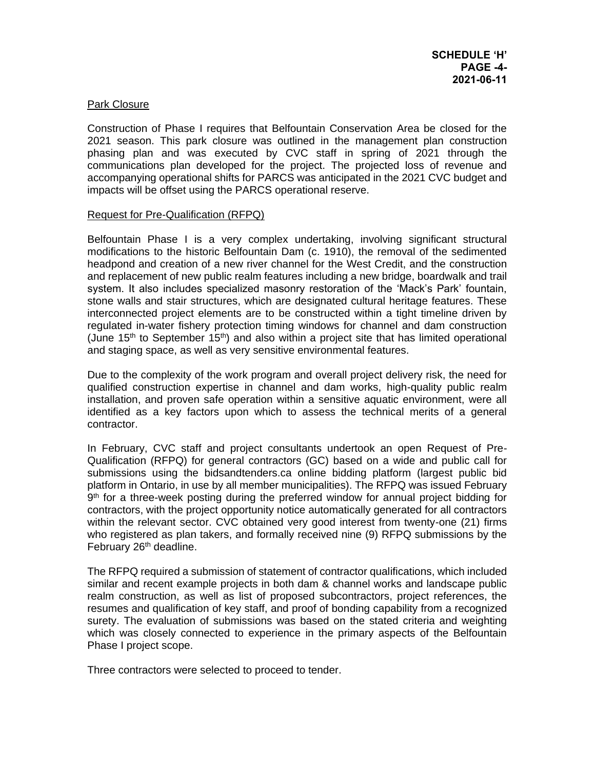### Park Closure

Construction of Phase I requires that Belfountain Conservation Area be closed for the 2021 season. This park closure was outlined in the management plan construction phasing plan and was executed by CVC staff in spring of 2021 through the communications plan developed for the project. The projected loss of revenue and accompanying operational shifts for PARCS was anticipated in the 2021 CVC budget and impacts will be offset using the PARCS operational reserve.

#### Request for Pre-Qualification (RFPQ)

Belfountain Phase I is a very complex undertaking, involving significant structural modifications to the historic Belfountain Dam (c. 1910), the removal of the sedimented headpond and creation of a new river channel for the West Credit, and the construction and replacement of new public realm features including a new bridge, boardwalk and trail system. It also includes specialized masonry restoration of the 'Mack's Park' fountain, stone walls and stair structures, which are designated cultural heritage features. These interconnected project elements are to be constructed within a tight timeline driven by regulated in-water fishery protection timing windows for channel and dam construction (June 15<sup>th</sup> to September 15<sup>th</sup>) and also within a project site that has limited operational and staging space, as well as very sensitive environmental features.

Due to the complexity of the work program and overall project delivery risk, the need for qualified construction expertise in channel and dam works, high-quality public realm installation, and proven safe operation within a sensitive aquatic environment, were all identified as a key factors upon which to assess the technical merits of a general contractor.

In February, CVC staff and project consultants undertook an open Request of Pre-Qualification (RFPQ) for general contractors (GC) based on a wide and public call for submissions using the bidsandtenders.ca online bidding platform (largest public bid platform in Ontario, in use by all member municipalities). The RFPQ was issued February 9<sup>th</sup> for a three-week posting during the preferred window for annual project bidding for contractors, with the project opportunity notice automatically generated for all contractors within the relevant sector. CVC obtained very good interest from twenty-one (21) firms who registered as plan takers, and formally received nine (9) RFPQ submissions by the February 26<sup>th</sup> deadline.

The RFPQ required a submission of statement of contractor qualifications, which included similar and recent example projects in both dam & channel works and landscape public realm construction, as well as list of proposed subcontractors, project references, the resumes and qualification of key staff, and proof of bonding capability from a recognized surety. The evaluation of submissions was based on the stated criteria and weighting which was closely connected to experience in the primary aspects of the Belfountain Phase I project scope.

Three contractors were selected to proceed to tender.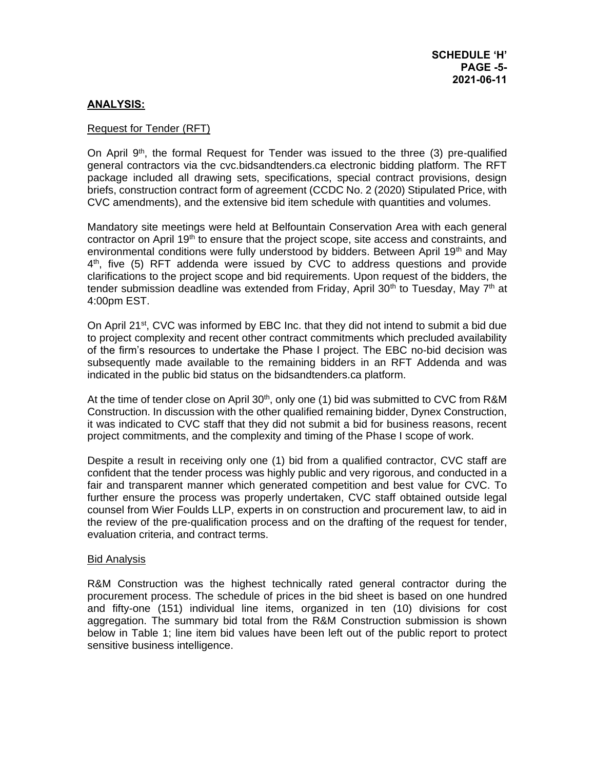### **ANALYSIS:**

#### Request for Tender (RFT)

On April  $9<sup>th</sup>$ , the formal Request for Tender was issued to the three (3) pre-qualified general contractors via the cvc.bidsandtenders.ca electronic bidding platform. The RFT package included all drawing sets, specifications, special contract provisions, design briefs, construction contract form of agreement (CCDC No. 2 (2020) Stipulated Price, with CVC amendments), and the extensive bid item schedule with quantities and volumes.

Mandatory site meetings were held at Belfountain Conservation Area with each general contractor on April 19<sup>th</sup> to ensure that the project scope, site access and constraints, and environmental conditions were fully understood by bidders. Between April 19<sup>th</sup> and May 4 th, five (5) RFT addenda were issued by CVC to address questions and provide clarifications to the project scope and bid requirements. Upon request of the bidders, the tender submission deadline was extended from Friday, April 30<sup>th</sup> to Tuesday, May  $7<sup>th</sup>$  at 4:00pm EST.

On April 21st, CVC was informed by EBC Inc. that they did not intend to submit a bid due to project complexity and recent other contract commitments which precluded availability of the firm's resources to undertake the Phase I project. The EBC no-bid decision was subsequently made available to the remaining bidders in an RFT Addenda and was indicated in the public bid status on the bidsandtenders.ca platform.

At the time of tender close on April 30<sup>th</sup>, only one (1) bid was submitted to CVC from R&M Construction. In discussion with the other qualified remaining bidder, Dynex Construction, it was indicated to CVC staff that they did not submit a bid for business reasons, recent project commitments, and the complexity and timing of the Phase I scope of work.

Despite a result in receiving only one (1) bid from a qualified contractor, CVC staff are confident that the tender process was highly public and very rigorous, and conducted in a fair and transparent manner which generated competition and best value for CVC. To further ensure the process was properly undertaken, CVC staff obtained outside legal counsel from Wier Foulds LLP, experts in on construction and procurement law, to aid in the review of the pre-qualification process and on the drafting of the request for tender, evaluation criteria, and contract terms.

#### Bid Analysis

R&M Construction was the highest technically rated general contractor during the procurement process. The schedule of prices in the bid sheet is based on one hundred and fifty-one (151) individual line items, organized in ten (10) divisions for cost aggregation. The summary bid total from the R&M Construction submission is shown below in Table 1; line item bid values have been left out of the public report to protect sensitive business intelligence.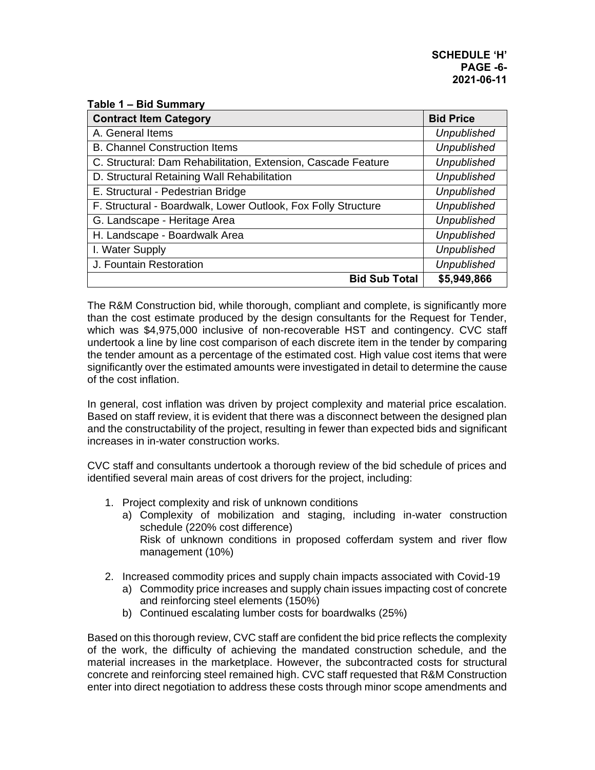#### **Table 1 – Bid Summary**

| <b>Contract Item Category</b>                                 | <b>Bid Price</b>   |
|---------------------------------------------------------------|--------------------|
| A. General Items                                              | <b>Unpublished</b> |
| <b>B. Channel Construction Items</b>                          | <b>Unpublished</b> |
| C. Structural: Dam Rehabilitation, Extension, Cascade Feature | <b>Unpublished</b> |
| D. Structural Retaining Wall Rehabilitation                   | <b>Unpublished</b> |
| E. Structural - Pedestrian Bridge                             | <b>Unpublished</b> |
| F. Structural - Boardwalk, Lower Outlook, Fox Folly Structure | <b>Unpublished</b> |
| G. Landscape - Heritage Area                                  | <b>Unpublished</b> |
| H. Landscape - Boardwalk Area                                 | <b>Unpublished</b> |
| I. Water Supply                                               | <b>Unpublished</b> |
| J. Fountain Restoration                                       | <b>Unpublished</b> |
| <b>Bid Sub Total</b>                                          | \$5,949,866        |

The R&M Construction bid, while thorough, compliant and complete, is significantly more than the cost estimate produced by the design consultants for the Request for Tender, which was \$4,975,000 inclusive of non-recoverable HST and contingency. CVC staff undertook a line by line cost comparison of each discrete item in the tender by comparing the tender amount as a percentage of the estimated cost. High value cost items that were significantly over the estimated amounts were investigated in detail to determine the cause of the cost inflation.

In general, cost inflation was driven by project complexity and material price escalation. Based on staff review, it is evident that there was a disconnect between the designed plan and the constructability of the project, resulting in fewer than expected bids and significant increases in in-water construction works.

CVC staff and consultants undertook a thorough review of the bid schedule of prices and identified several main areas of cost drivers for the project, including:

- 1. Project complexity and risk of unknown conditions
	- a) Complexity of mobilization and staging, including in-water construction schedule (220% cost difference) Risk of unknown conditions in proposed cofferdam system and river flow management (10%)
- 2. Increased commodity prices and supply chain impacts associated with Covid-19
	- a) Commodity price increases and supply chain issues impacting cost of concrete and reinforcing steel elements (150%)
	- b) Continued escalating lumber costs for boardwalks (25%)

Based on this thorough review, CVC staff are confident the bid price reflects the complexity of the work, the difficulty of achieving the mandated construction schedule, and the material increases in the marketplace. However, the subcontracted costs for structural concrete and reinforcing steel remained high. CVC staff requested that R&M Construction enter into direct negotiation to address these costs through minor scope amendments and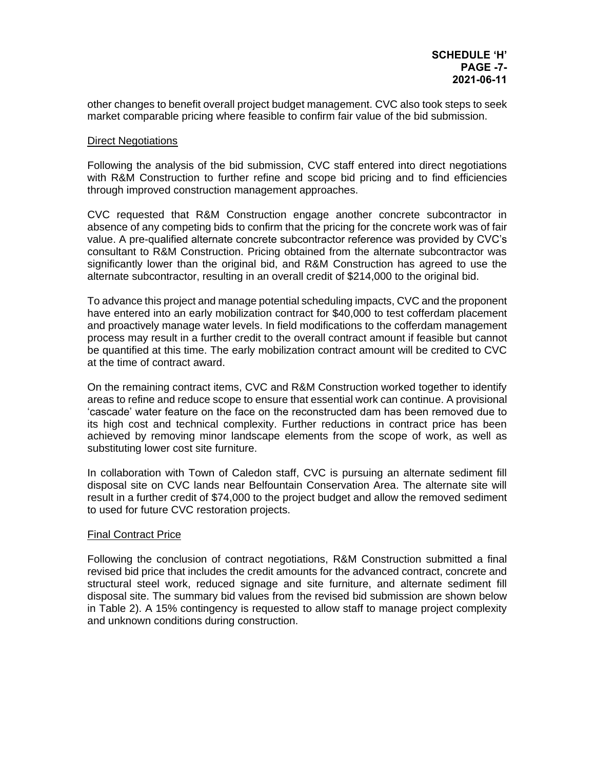other changes to benefit overall project budget management. CVC also took steps to seek market comparable pricing where feasible to confirm fair value of the bid submission.

### Direct Negotiations

Following the analysis of the bid submission, CVC staff entered into direct negotiations with R&M Construction to further refine and scope bid pricing and to find efficiencies through improved construction management approaches.

CVC requested that R&M Construction engage another concrete subcontractor in absence of any competing bids to confirm that the pricing for the concrete work was of fair value. A pre-qualified alternate concrete subcontractor reference was provided by CVC's consultant to R&M Construction. Pricing obtained from the alternate subcontractor was significantly lower than the original bid, and R&M Construction has agreed to use the alternate subcontractor, resulting in an overall credit of \$214,000 to the original bid.

To advance this project and manage potential scheduling impacts, CVC and the proponent have entered into an early mobilization contract for \$40,000 to test cofferdam placement and proactively manage water levels. In field modifications to the cofferdam management process may result in a further credit to the overall contract amount if feasible but cannot be quantified at this time. The early mobilization contract amount will be credited to CVC at the time of contract award.

On the remaining contract items, CVC and R&M Construction worked together to identify areas to refine and reduce scope to ensure that essential work can continue. A provisional 'cascade' water feature on the face on the reconstructed dam has been removed due to its high cost and technical complexity. Further reductions in contract price has been achieved by removing minor landscape elements from the scope of work, as well as substituting lower cost site furniture.

In collaboration with Town of Caledon staff, CVC is pursuing an alternate sediment fill disposal site on CVC lands near Belfountain Conservation Area. The alternate site will result in a further credit of \$74,000 to the project budget and allow the removed sediment to used for future CVC restoration projects.

#### **Final Contract Price**

Following the conclusion of contract negotiations, R&M Construction submitted a final revised bid price that includes the credit amounts for the advanced contract, concrete and structural steel work, reduced signage and site furniture, and alternate sediment fill disposal site. The summary bid values from the revised bid submission are shown below in Table 2). A 15% contingency is requested to allow staff to manage project complexity and unknown conditions during construction.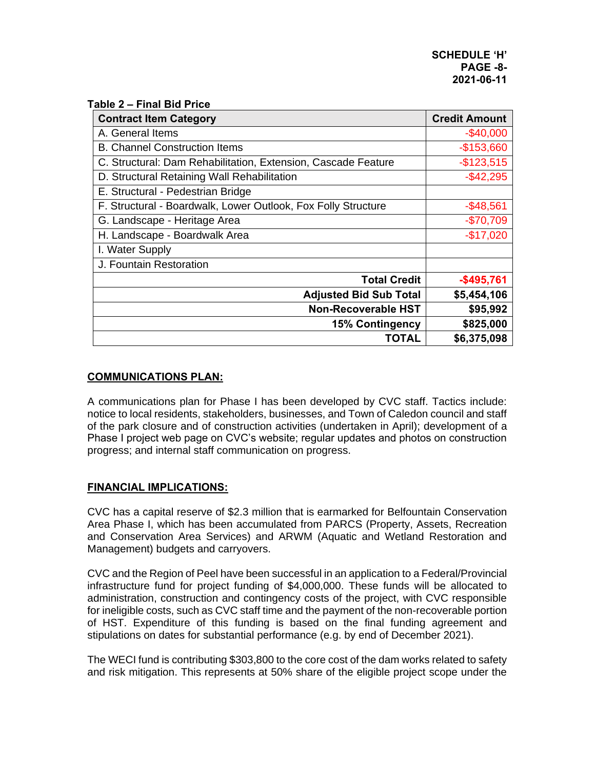|  |  |  |  | Table 2 – Final Bid Price |
|--|--|--|--|---------------------------|
|--|--|--|--|---------------------------|

| <b>Contract Item Category</b>                                 | <b>Credit Amount</b> |
|---------------------------------------------------------------|----------------------|
| A. General Items                                              | $-$40,000$           |
| <b>B. Channel Construction Items</b>                          | $-$153,660$          |
| C. Structural: Dam Rehabilitation, Extension, Cascade Feature | $-$123,515$          |
| D. Structural Retaining Wall Rehabilitation                   | $-$ \$42,295         |
| E. Structural - Pedestrian Bridge                             |                      |
| F. Structural - Boardwalk, Lower Outlook, Fox Folly Structure | $-$48,561$           |
| G. Landscape - Heritage Area                                  | $-$70,709$           |
| H. Landscape - Boardwalk Area                                 | $-$17,020$           |
| I. Water Supply                                               |                      |
| J. Fountain Restoration                                       |                      |
| <b>Total Credit</b>                                           | $-$495,761$          |
| <b>Adjusted Bid Sub Total</b>                                 | \$5,454,106          |
| <b>Non-Recoverable HST</b>                                    | \$95,992             |
| <b>15% Contingency</b>                                        | \$825,000            |
| TOTAL                                                         | \$6,375,098          |

# **COMMUNICATIONS PLAN:**

A communications plan for Phase I has been developed by CVC staff. Tactics include: notice to local residents, stakeholders, businesses, and Town of Caledon council and staff of the park closure and of construction activities (undertaken in April); development of a Phase I project web page on CVC's website; regular updates and photos on construction progress; and internal staff communication on progress.

### **FINANCIAL IMPLICATIONS:**

CVC has a capital reserve of \$2.3 million that is earmarked for Belfountain Conservation Area Phase I, which has been accumulated from PARCS (Property, Assets, Recreation and Conservation Area Services) and ARWM (Aquatic and Wetland Restoration and Management) budgets and carryovers.

CVC and the Region of Peel have been successful in an application to a Federal/Provincial infrastructure fund for project funding of \$4,000,000. These funds will be allocated to administration, construction and contingency costs of the project, with CVC responsible for ineligible costs, such as CVC staff time and the payment of the non-recoverable portion of HST. Expenditure of this funding is based on the final funding agreement and stipulations on dates for substantial performance (e.g. by end of December 2021).

The WECI fund is contributing \$303,800 to the core cost of the dam works related to safety and risk mitigation. This represents at 50% share of the eligible project scope under the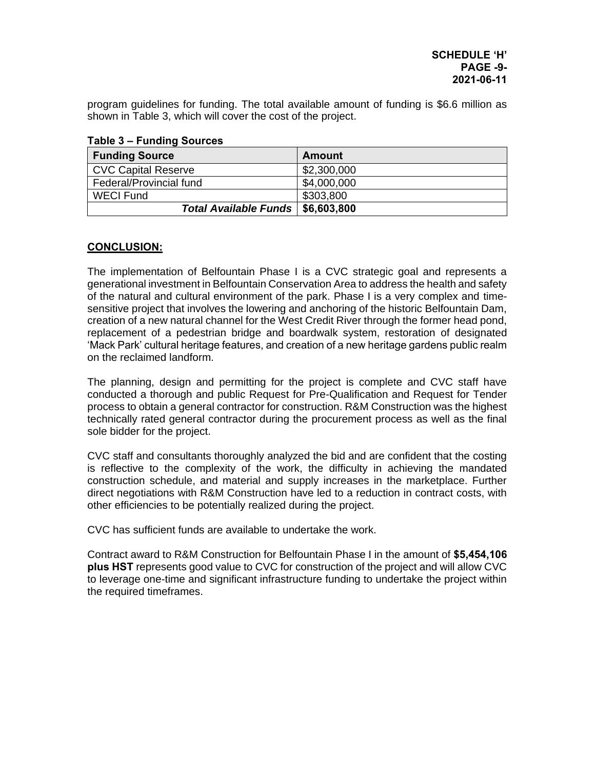program guidelines for funding. The total available amount of funding is \$6.6 million as shown in Table 3, which will cover the cost of the project.

| <b>Funding Source</b>               | <b>Amount</b> |  |
|-------------------------------------|---------------|--|
| <b>CVC Capital Reserve</b>          | \$2,300,000   |  |
| Federal/Provincial fund             | \$4,000,000   |  |
| <b>WECI Fund</b>                    | \$303,800     |  |
| Total Available Funds   \$6,603,800 |               |  |

**Table 3 – Funding Sources**

# **CONCLUSION:**

The implementation of Belfountain Phase I is a CVC strategic goal and represents a generational investment in Belfountain Conservation Area to address the health and safety of the natural and cultural environment of the park. Phase I is a very complex and timesensitive project that involves the lowering and anchoring of the historic Belfountain Dam, creation of a new natural channel for the West Credit River through the former head pond, replacement of a pedestrian bridge and boardwalk system, restoration of designated 'Mack Park' cultural heritage features, and creation of a new heritage gardens public realm on the reclaimed landform.

The planning, design and permitting for the project is complete and CVC staff have conducted a thorough and public Request for Pre-Qualification and Request for Tender process to obtain a general contractor for construction. R&M Construction was the highest technically rated general contractor during the procurement process as well as the final sole bidder for the project.

CVC staff and consultants thoroughly analyzed the bid and are confident that the costing is reflective to the complexity of the work, the difficulty in achieving the mandated construction schedule, and material and supply increases in the marketplace. Further direct negotiations with R&M Construction have led to a reduction in contract costs, with other efficiencies to be potentially realized during the project.

CVC has sufficient funds are available to undertake the work.

Contract award to R&M Construction for Belfountain Phase I in the amount of **\$5,454,106 plus HST** represents good value to CVC for construction of the project and will allow CVC to leverage one-time and significant infrastructure funding to undertake the project within the required timeframes.